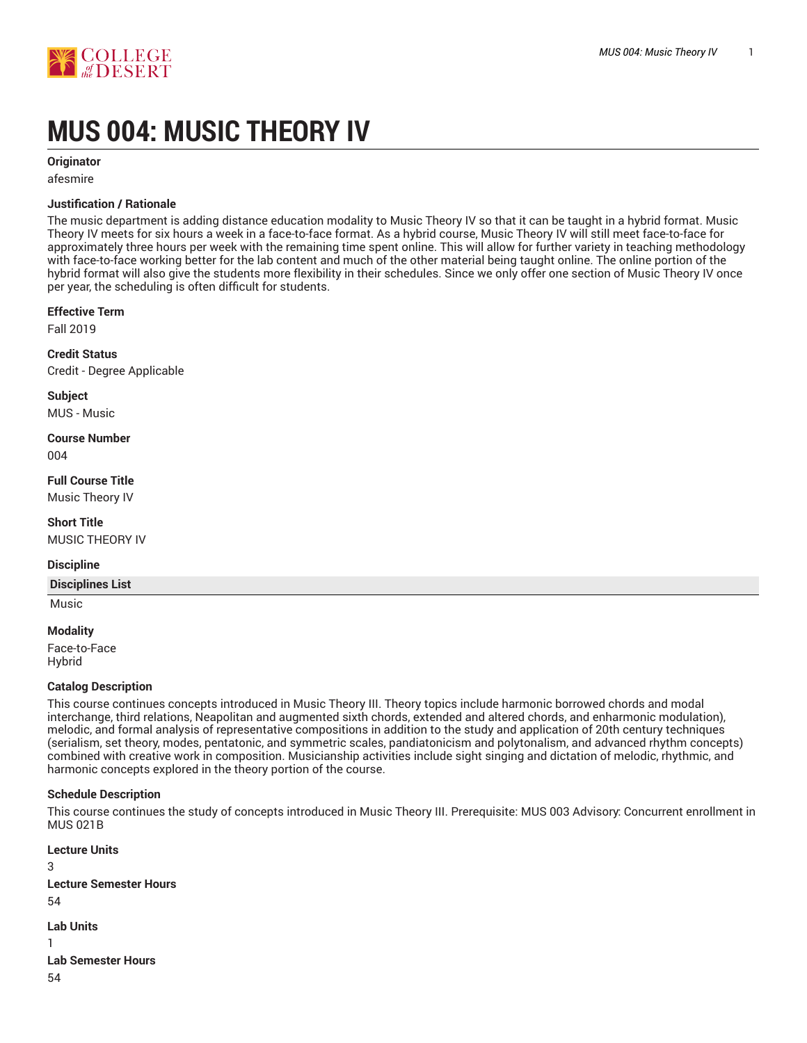

# **MUS 004: MUSIC THEORY IV**

**Originator**

afesmire

#### **Justification / Rationale**

The music department is adding distance education modality to Music Theory IV so that it can be taught in a hybrid format. Music Theory IV meets for six hours a week in a face-to-face format. As a hybrid course, Music Theory IV will still meet face-to-face for approximately three hours per week with the remaining time spent online. This will allow for further variety in teaching methodology with face-to-face working better for the lab content and much of the other material being taught online. The online portion of the hybrid format will also give the students more flexibility in their schedules. Since we only offer one section of Music Theory IV once per year, the scheduling is often difficult for students.

#### **Effective Term**

Fall 2019

**Credit Status** Credit - Degree Applicable

**Subject**

MUS - Music

**Course Number** 004

**Full Course Title** Music Theory IV

**Short Title** MUSIC THEORY IV

#### **Discipline**

**Disciplines List**

# Music **Modality**

Face-to-Face Hybrid

#### **Catalog Description**

This course continues concepts introduced in Music Theory III. Theory topics include harmonic borrowed chords and modal interchange, third relations, Neapolitan and augmented sixth chords, extended and altered chords, and enharmonic modulation), melodic, and formal analysis of representative compositions in addition to the study and application of 20th century techniques (serialism, set theory, modes, pentatonic, and symmetric scales, pandiatonicism and polytonalism, and advanced rhythm concepts) combined with creative work in composition. Musicianship activities include sight singing and dictation of melodic, rhythmic, and harmonic concepts explored in the theory portion of the course.

#### **Schedule Description**

This course continues the study of concepts introduced in Music Theory III. Prerequisite: MUS 003 Advisory: Concurrent enrollment in MUS 021B

**Lecture Units** 3 **Lecture Semester Hours** 54 **Lab Units** 1 **Lab Semester Hours** 54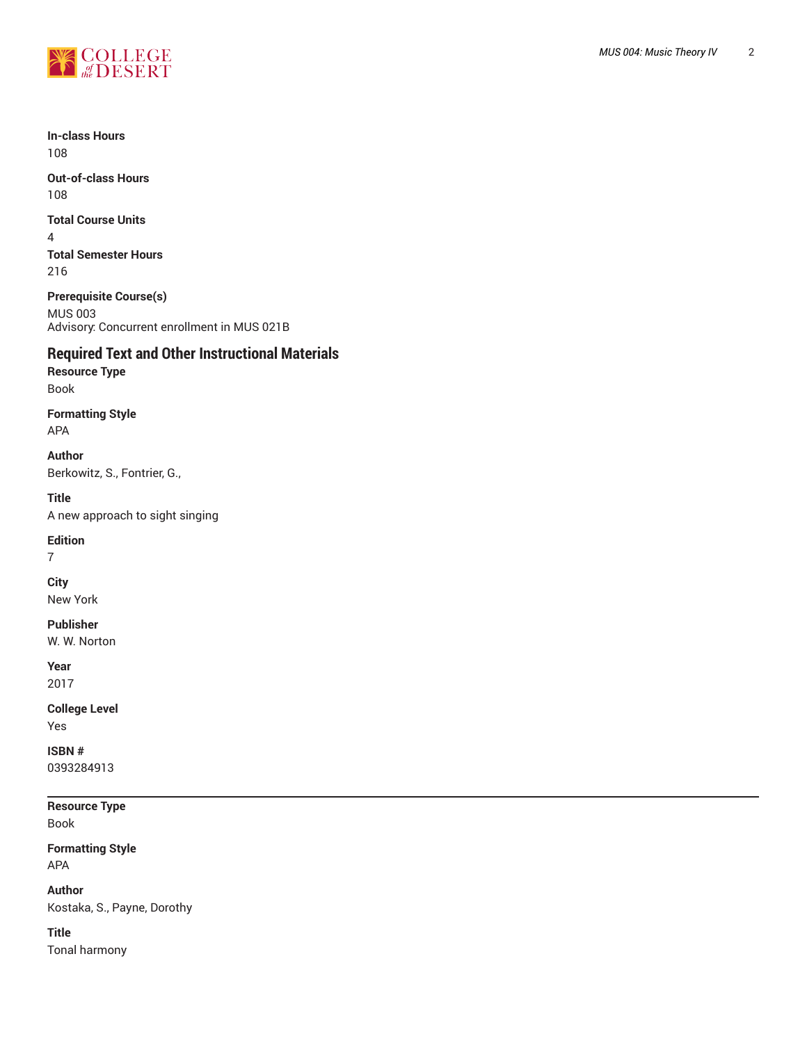

**In-class Hours** 108

**Out-of-class Hours** 108

**Total Course Units**

4 **Total Semester Hours** 216

**Prerequisite Course(s)** MUS 003 Advisory: Concurrent enrollment in MUS 021B

# **Required Text and Other Instructional Materials**

**Resource Type** Book

**Formatting Style** APA

**Author** Berkowitz, S., Fontrier, G.,

**Title** A new approach to sight singing

**Edition**

7

**City** New York

**Publisher** W. W. Norton

**Year** 2017

**College Level** Yes

**ISBN #** 0393284913

**Resource Type** Book

**Formatting Style** APA

**Author** Kostaka, S., Payne, Dorothy

**Title** Tonal harmony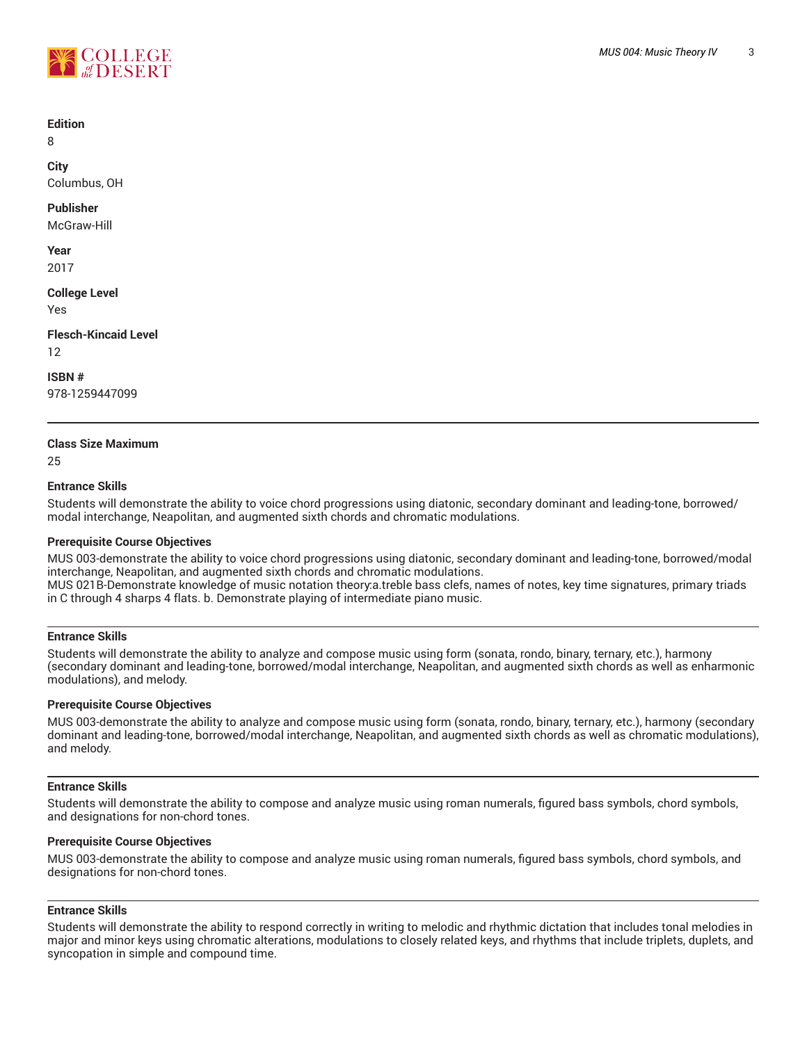

#### **Edition**

8

**City** Columbus, OH

#### **Publisher**

McGraw-Hill

**Year** 2017

**College Level**

Yes

**Flesch-Kincaid Level**

12

**ISBN #**

978-1259447099

## **Class Size Maximum**

 $25$ 

## **Entrance Skills**

Students will demonstrate the ability to voice chord progressions using diatonic, secondary dominant and leading-tone, borrowed/ modal interchange, Neapolitan, and augmented sixth chords and chromatic modulations.

## **Prerequisite Course Objectives**

MUS 003-demonstrate the ability to voice chord progressions using diatonic, secondary dominant and leading-tone, borrowed/modal interchange, Neapolitan, and augmented sixth chords and chromatic modulations. MUS 021B-Demonstrate knowledge of music notation theory:a.treble bass clefs, names of notes, key time signatures, primary triads in C through 4 sharps 4 flats. b. Demonstrate playing of intermediate piano music.

#### **Entrance Skills**

Students will demonstrate the ability to analyze and compose music using form (sonata, rondo, binary, ternary, etc.), harmony (secondary dominant and leading-tone, borrowed/modal interchange, Neapolitan, and augmented sixth chords as well as enharmonic modulations), and melody.

## **Prerequisite Course Objectives**

MUS 003-demonstrate the ability to analyze and compose music using form (sonata, rondo, binary, ternary, etc.), harmony (secondary dominant and leading-tone, borrowed/modal interchange, Neapolitan, and augmented sixth chords as well as chromatic modulations), and melody.

#### **Entrance Skills**

Students will demonstrate the ability to compose and analyze music using roman numerals, figured bass symbols, chord symbols, and designations for non-chord tones.

#### **Prerequisite Course Objectives**

MUS 003-demonstrate the ability to compose and analyze music using roman numerals, figured bass symbols, chord symbols, and designations for non-chord tones.

#### **Entrance Skills**

Students will demonstrate the ability to respond correctly in writing to melodic and rhythmic dictation that includes tonal melodies in major and minor keys using chromatic alterations, modulations to closely related keys, and rhythms that include triplets, duplets, and syncopation in simple and compound time.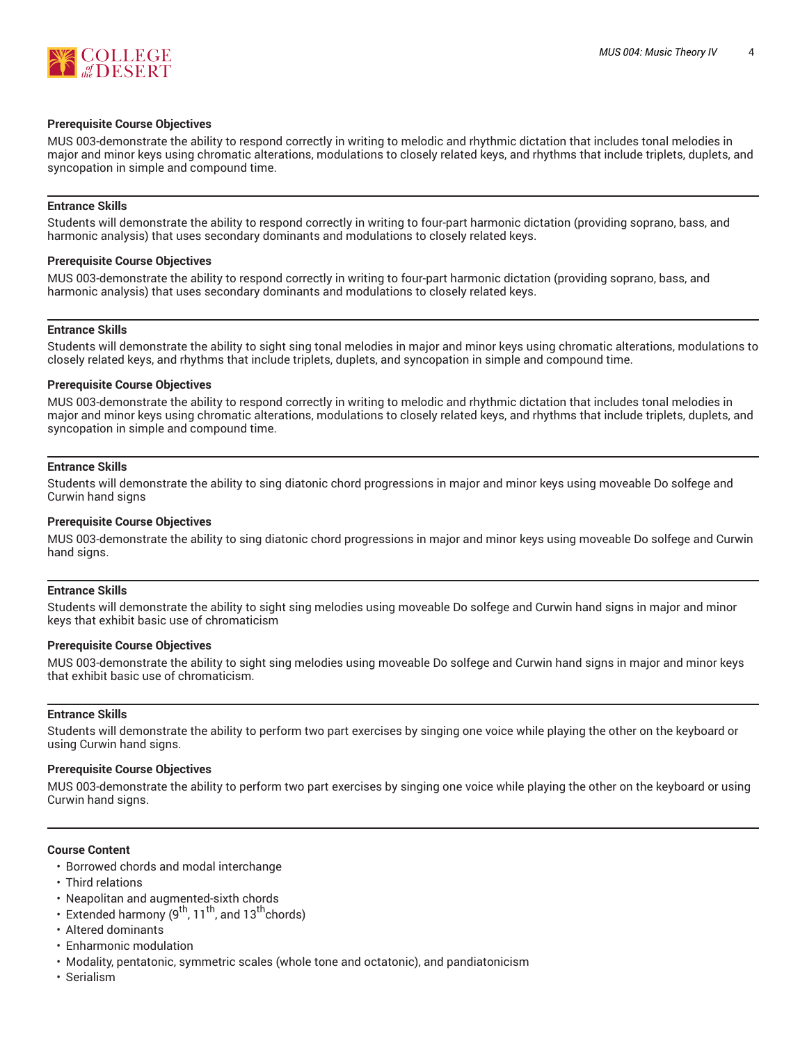

#### **Prerequisite Course Objectives**

MUS 003-demonstrate the ability to respond correctly in writing to melodic and rhythmic dictation that includes tonal melodies in major and minor keys using chromatic alterations, modulations to closely related keys, and rhythms that include triplets, duplets, and syncopation in simple and compound time.

#### **Entrance Skills**

Students will demonstrate the ability to respond correctly in writing to four-part harmonic dictation (providing soprano, bass, and harmonic analysis) that uses secondary dominants and modulations to closely related keys.

#### **Prerequisite Course Objectives**

MUS 003-demonstrate the ability to respond correctly in writing to four-part harmonic dictation (providing soprano, bass, and harmonic analysis) that uses secondary dominants and modulations to closely related keys.

#### **Entrance Skills**

Students will demonstrate the ability to sight sing tonal melodies in major and minor keys using chromatic alterations, modulations to closely related keys, and rhythms that include triplets, duplets, and syncopation in simple and compound time.

#### **Prerequisite Course Objectives**

MUS 003-demonstrate the ability to respond correctly in writing to melodic and rhythmic dictation that includes tonal melodies in major and minor keys using chromatic alterations, modulations to closely related keys, and rhythms that include triplets, duplets, and syncopation in simple and compound time.

#### **Entrance Skills**

Students will demonstrate the ability to sing diatonic chord progressions in major and minor keys using moveable Do solfege and Curwin hand signs

#### **Prerequisite Course Objectives**

MUS 003-demonstrate the ability to sing diatonic chord progressions in major and minor keys using moveable Do solfege and Curwin hand signs.

#### **Entrance Skills**

Students will demonstrate the ability to sight sing melodies using moveable Do solfege and Curwin hand signs in major and minor keys that exhibit basic use of chromaticism

#### **Prerequisite Course Objectives**

MUS 003-demonstrate the ability to sight sing melodies using moveable Do solfege and Curwin hand signs in major and minor keys that exhibit basic use of chromaticism.

#### **Entrance Skills**

Students will demonstrate the ability to perform two part exercises by singing one voice while playing the other on the keyboard or using Curwin hand signs.

#### **Prerequisite Course Objectives**

MUS 003-demonstrate the ability to perform two part exercises by singing one voice while playing the other on the keyboard or using Curwin hand signs.

#### **Course Content**

- Borrowed chords and modal interchange
- Third relations
- Neapolitan and augmented-sixth chords
- Extended harmony  $(9^{th}, 11^{th})$ , and  $13^{th}$ chords)
- Altered dominants
- Enharmonic modulation
- Modality, pentatonic, symmetric scales (whole tone and octatonic), and pandiatonicism
- Serialism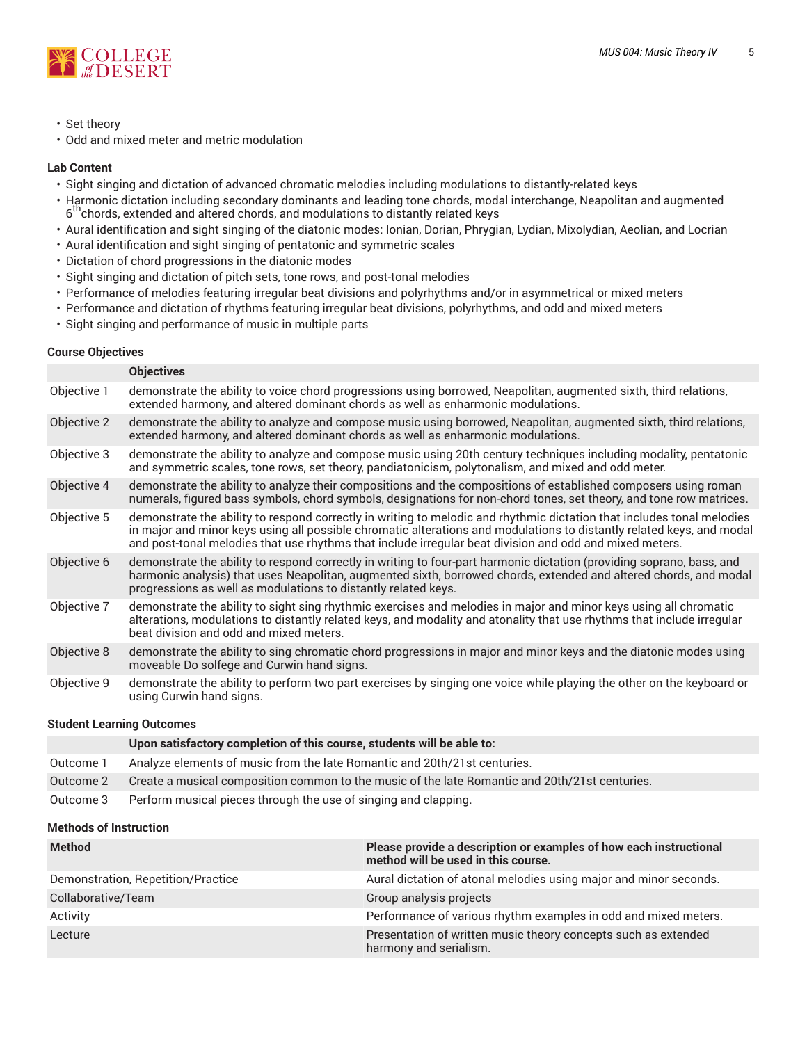

- Set theory
- Odd and mixed meter and metric modulation

#### **Lab Content**

- Sight singing and dictation of advanced chromatic melodies including modulations to distantly-related keys
- Harmonic dictation including secondary dominants and leading tone chords, modal interchange, Neapolitan and augmented 6 thchords, extended and altered chords, and modulations to distantly related keys
- Aural identification and sight singing of the diatonic modes: Ionian, Dorian, Phrygian, Lydian, Mixolydian, Aeolian, and Locrian
- Aural identification and sight singing of pentatonic and symmetric scales
- Dictation of chord progressions in the diatonic modes
- Sight singing and dictation of pitch sets, tone rows, and post-tonal melodies
- Performance of melodies featuring irregular beat divisions and polyrhythms and/or in asymmetrical or mixed meters
- Performance and dictation of rhythms featuring irregular beat divisions, polyrhythms, and odd and mixed meters
- Sight singing and performance of music in multiple parts

#### **Course Objectives**

|             | <b>Objectives</b>                                                                                                                                                                                                                                                                                                                                          |
|-------------|------------------------------------------------------------------------------------------------------------------------------------------------------------------------------------------------------------------------------------------------------------------------------------------------------------------------------------------------------------|
| Objective 1 | demonstrate the ability to voice chord progressions using borrowed, Neapolitan, augmented sixth, third relations,<br>extended harmony, and altered dominant chords as well as enharmonic modulations.                                                                                                                                                      |
| Objective 2 | demonstrate the ability to analyze and compose music using borrowed, Neapolitan, augmented sixth, third relations,<br>extended harmony, and altered dominant chords as well as enharmonic modulations.                                                                                                                                                     |
| Objective 3 | demonstrate the ability to analyze and compose music using 20th century techniques including modality, pentatonic<br>and symmetric scales, tone rows, set theory, pandiatonicism, polytonalism, and mixed and odd meter.                                                                                                                                   |
| Objective 4 | demonstrate the ability to analyze their compositions and the compositions of established composers using roman<br>numerals, figured bass symbols, chord symbols, designations for non-chord tones, set theory, and tone row matrices.                                                                                                                     |
| Objective 5 | demonstrate the ability to respond correctly in writing to melodic and rhythmic dictation that includes tonal melodies<br>in major and minor keys using all possible chromatic alterations and modulations to distantly related keys, and modal<br>and post-tonal melodies that use rhythms that include irregular beat division and odd and mixed meters. |
| Objective 6 | demonstrate the ability to respond correctly in writing to four-part harmonic dictation (providing soprano, bass, and<br>harmonic analysis) that uses Neapolitan, augmented sixth, borrowed chords, extended and altered chords, and modal<br>progressions as well as modulations to distantly related keys.                                               |
| Objective 7 | demonstrate the ability to sight sing rhythmic exercises and melodies in major and minor keys using all chromatic<br>alterations, modulations to distantly related keys, and modality and atonality that use rhythms that include irregular<br>beat division and odd and mixed meters.                                                                     |
| Objective 8 | demonstrate the ability to sing chromatic chord progressions in major and minor keys and the diatonic modes using<br>moveable Do solfege and Curwin hand signs.                                                                                                                                                                                            |
| Objective 9 | demonstrate the ability to perform two part exercises by singing one voice while playing the other on the keyboard or<br>using Curwin hand signs.                                                                                                                                                                                                          |

#### **Student Learning Outcomes**

|           | Upon satisfactory completion of this course, students will be able to:                         |
|-----------|------------------------------------------------------------------------------------------------|
| Outcome 1 | Analyze elements of music from the late Romantic and 20th/21st centuries.                      |
| Outcome 2 | Create a musical composition common to the music of the late Romantic and 20th/21st centuries. |
| Outcome 3 | Perform musical pieces through the use of singing and clapping.                                |

#### **Methods of Instruction**

| <b>Method</b>                      | Please provide a description or examples of how each instructional<br>method will be used in this course. |
|------------------------------------|-----------------------------------------------------------------------------------------------------------|
| Demonstration, Repetition/Practice | Aural dictation of atonal melodies using major and minor seconds.                                         |
| Collaborative/Team                 | Group analysis projects                                                                                   |
| Activity                           | Performance of various rhythm examples in odd and mixed meters.                                           |
| Lecture                            | Presentation of written music theory concepts such as extended<br>harmony and serialism.                  |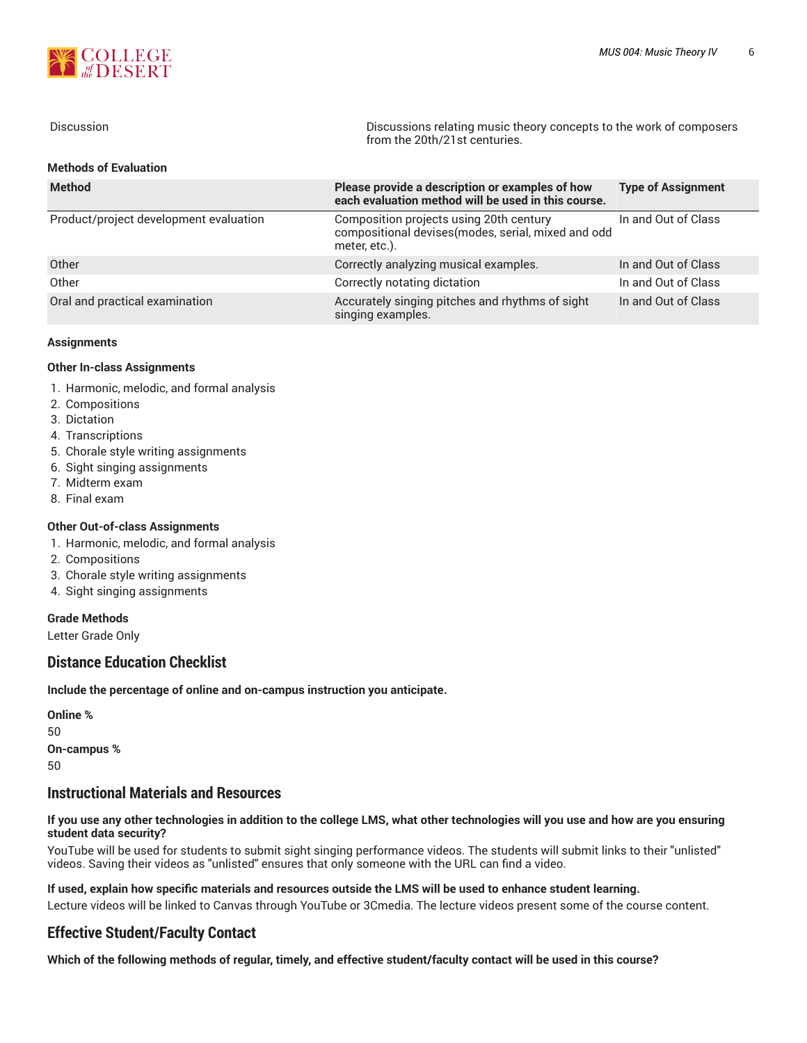

| <b>Discussion</b>                      | Discussions relating music theory concepts to the work of composers<br>from the 20th/21st centuries.   |                           |
|----------------------------------------|--------------------------------------------------------------------------------------------------------|---------------------------|
| <b>Methods of Evaluation</b>           |                                                                                                        |                           |
| <b>Method</b>                          | Please provide a description or examples of how<br>each evaluation method will be used in this course. | <b>Type of Assignment</b> |
| Product/project development evaluation | Composition projects using 20th century<br>compositional devises (modes, serial, mixed and odd         | In and Out of Class       |

|                                | meter, etc.).                                                        |                     |
|--------------------------------|----------------------------------------------------------------------|---------------------|
| Other                          | Correctly analyzing musical examples.                                | In and Out of Class |
| Other                          | Correctly notating dictation                                         | In and Out of Class |
| Oral and practical examination | Accurately singing pitches and rhythms of sight<br>singing examples. | In and Out of Class |

#### **Assignments**

#### **Other In-class Assignments**

- 1. Harmonic, melodic, and formal analysis
- 2. Compositions
- 3. Dictation
- 4. Transcriptions
- 5. Chorale style writing assignments
- 6. Sight singing assignments
- 7. Midterm exam
- 8. Final exam

#### **Other Out-of-class Assignments**

- 1. Harmonic, melodic, and formal analysis
- 2. Compositions
- 3. Chorale style writing assignments
- 4. Sight singing assignments

#### **Grade Methods**

Letter Grade Only

## **Distance Education Checklist**

**Include the percentage of online and on-campus instruction you anticipate.**

| Online %    |  |  |  |
|-------------|--|--|--|
| 50          |  |  |  |
| On-campus % |  |  |  |
| 50          |  |  |  |

## **Instructional Materials and Resources**

#### If you use any other technologies in addition to the college LMS, what other technologies will you use and how are you ensuring **student data security?**

YouTube will be used for students to submit sight singing performance videos. The students will submit links to their "unlisted" videos. Saving their videos as "unlisted" ensures that only someone with the URL can find a video.

#### **If used, explain how specific materials and resources outside the LMS will be used to enhance student learning.**

Lecture videos will be linked to Canvas through YouTube or 3Cmedia. The lecture videos present some of the course content.

## **Effective Student/Faculty Contact**

Which of the following methods of regular, timely, and effective student/faculty contact will be used in this course?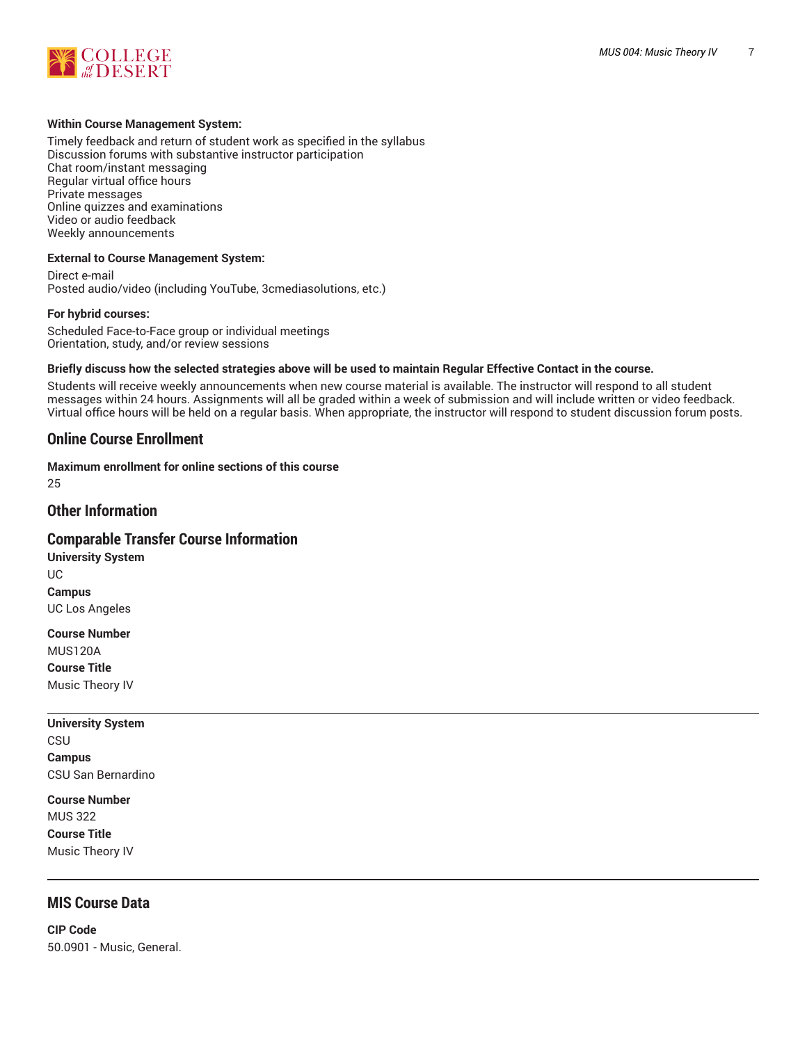

#### **Within Course Management System:**

Timely feedback and return of student work as specified in the syllabus Discussion forums with substantive instructor participation Chat room/instant messaging Regular virtual office hours Private messages Online quizzes and examinations Video or audio feedback Weekly announcements

#### **External to Course Management System:**

Direct e-mail Posted audio/video (including YouTube, 3cmediasolutions, etc.)

#### **For hybrid courses:**

Scheduled Face-to-Face group or individual meetings Orientation, study, and/or review sessions

#### Briefly discuss how the selected strategies above will be used to maintain Regular Effective Contact in the course.

Students will receive weekly announcements when new course material is available. The instructor will respond to all student messages within 24 hours. Assignments will all be graded within a week of submission and will include written or video feedback. Virtual office hours will be held on a regular basis. When appropriate, the instructor will respond to student discussion forum posts.

#### **Online Course Enrollment**

**Maximum enrollment for online sections of this course** 25

## **Other Information**

## **Comparable Transfer Course Information**

**University System** UC **Campus** UC Los Angeles

**Course Number** MUS120A **Course Title**

Music Theory IV

# **University System**

CSU **Campus** CSU San Bernardino

**Course Number** MUS 322 **Course Title** Music Theory IV

# **MIS Course Data**

**CIP Code** 50.0901 - Music, General.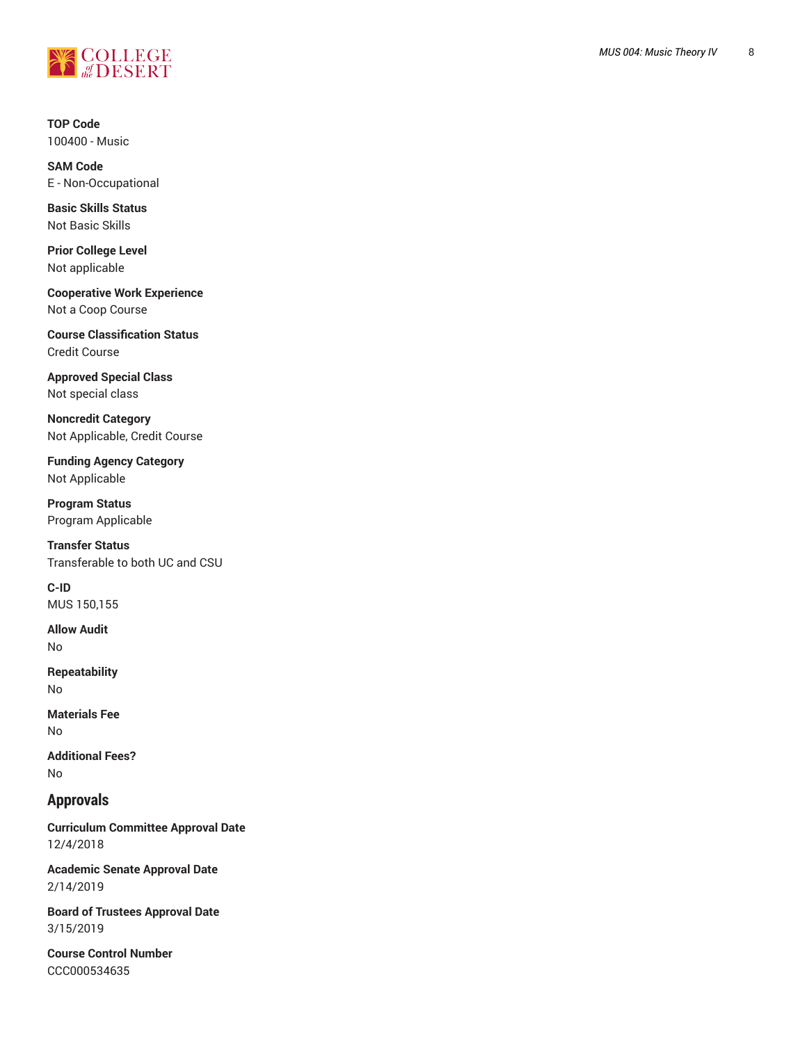

**T O P C o d e** 100400 - Music

**SAM Code** E - Non-Occupational

**Basic Skills Status** Not Basic Skills

**Prior College Level** Not applicable

**Cooperative W o r k E x p e r i e n c e** Not a Coop Course

**Course Classification Status** Credit Course

**Approved Special Class** Not special class

**Noncredit Catego r y** Not Applicable, Credit Course ,

**Funding Agency Category** Not Applicable

**Program Status** Program Applica ble

**T r a n s f e r S t a t u s** Transferable to both UC and CSU

**C-ID** MUS 150,155

**Allow Audit** No

**Repeatability** No

**Materials Fee** No

**Ad d i t i o n a l F e e s ?** No

## **Approvals**

**Curriculum Committee Approval Date** 12/4/2018

Academic Senate Approval Date 2/14/2019

Board of Trustees Approval Date 3/15/2019

**Course Control Number** CCC000534635